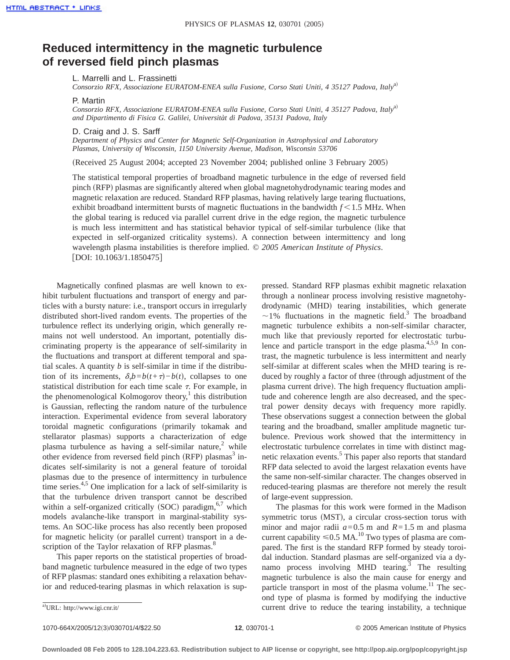## **Reduced intermittency in the magnetic turbulence of reversed field pinch plasmas**

L. Marrelli and L. Frassinetti

*Consorzio RFX, Associazione EURATOM-ENEA sulla Fusione, Corso Stati Uniti, 4 35127 Padova, Italy*<sup>a)</sup>

P. Martin

*Consorzio RFX, Associazione EURATOM-ENEA sulla Fusione, Corso Stati Uniti, 4 35127 Padova, Italya*<sup>a)</sup> *and Dipartimento di Fisica G. Galilei, Universitàt di Padova, 35131 Padova, Italy*

D. Craig and J. S. Sarff

*Department of Physics and Center for Magnetic Self-Organization in Astrophysical and Laboratory Plasmas, University of Wisconsin, 1150 University Avenue, Madison, Wisconsin 53706*

(Received 25 August 2004; accepted 23 November 2004; published online 3 February 2005)

The statistical temporal properties of broadband magnetic turbulence in the edge of reversed field pinch (RFP) plasmas are significantly altered when global magnetohydrodynamic tearing modes and magnetic relaxation are reduced. Standard RFP plasmas, having relatively large tearing fluctuations, exhibit broadband intermittent bursts of magnetic fluctuations in the bandwidth  $f < 1.5$  MHz. When the global tearing is reduced via parallel current drive in the edge region, the magnetic turbulence is much less intermittent and has statistical behavior typical of self-similar turbulence (like that expected in self-organized criticality systems). A connection between intermittency and long wavelength plasma instabilities is therefore implied. © *2005 American Institute of Physics*. [DOI: 10.1063/1.1850475]

Magnetically confined plasmas are well known to exhibit turbulent fluctuations and transport of energy and particles with a bursty nature: i.e., transport occurs in irregularly distributed short-lived random events. The properties of the turbulence reflect its underlying origin, which generally remains not well understood. An important, potentially discriminating property is the appearance of self-similarity in the fluctuations and transport at different temporal and spatial scales. A quantity *b* is self-similar in time if the distribution of its increments,  $\delta_{\tau}b = b(t+\tau) - b(t)$ , collapses to one statistical distribution for each time scale  $\tau$ . For example, in the phenomenological Kolmogorov theory,<sup>1</sup> this distribution is Gaussian, reflecting the random nature of the turbulence interaction. Experimental evidence from several laboratory toroidal magnetic configurations (primarily tokamak and stellarator plasmas) supports a characterization of edge plasma turbulence as having a self-similar nature,<sup>2</sup> while other evidence from reversed field pinch  $(RFP)$  plasmas<sup>3</sup> indicates self-similarity is not a general feature of toroidal plasmas due to the presence of intermittency in turbulence time series. $4.5$  One implication for a lack of self-similarity is that the turbulence driven transport cannot be described within a self-organized critically (SOC) paradigm,  $6,7$  which models avalanche-like transport in marginal-stability systems. An SOC-like process has also recently been proposed for magnetic helicity (or parallel current) transport in a description of the Taylor relaxation of RFP plasmas.<sup>8</sup>

This paper reports on the statistical properties of broadband magnetic turbulence measured in the edge of two types of RFP plasmas: standard ones exhibiting a relaxation behavior and reduced-tearing plasmas in which relaxation is suppressed. Standard RFP plasmas exhibit magnetic relaxation through a nonlinear process involving resistive magnetohydrodynamic (MHD) tearing instabilities, which generate  $\sim$ 1% fluctuations in the magnetic field.<sup>3</sup> The broadband magnetic turbulence exhibits a non-self-similar character, much like that previously reported for electrostatic turbulence and particle transport in the edge plasma.<sup>4,5,9</sup> In contrast, the magnetic turbulence is less intermittent and nearly self-similar at different scales when the MHD tearing is reduced by roughly a factor of three (through adjustment of the plasma current drive). The high frequency fluctuation amplitude and coherence length are also decreased, and the spectral power density decays with frequency more rapidly. These observations suggest a connection between the global tearing and the broadband, smaller amplitude magnetic turbulence. Previous work showed that the intermittency in electrostatic turbulence correlates in time with distinct magnetic relaxation events.<sup>5</sup> This paper also reports that standard RFP data selected to avoid the largest relaxation events have the same non-self-similar character. The changes observed in reduced-tearing plasmas are therefore not merely the result of large-event suppression.

The plasmas for this work were formed in the Madison symmetric torus (MST), a circular cross-section torus with minor and major radii  $a=0.5$  m and  $R=1.5$  m and plasma current capability  $\leq 0.5$  MA.<sup>10</sup> Two types of plasma are compared. The first is the standard RFP formed by steady toroidal induction. Standard plasmas are self-organized via a dynamo process involving MHD tearing. $3$  The resulting magnetic turbulence is also the main cause for energy and particle transport in most of the plasma volume.<sup>11</sup> The second type of plasma is formed by modifying the inductive current drive to reduce the tearing instability, a technique

1070-664X/2005/12~3!/030701/4/\$22.50 © 2005 American Institute of Physics **12**, 030701-1

URL: http://www.igi.cnr.it/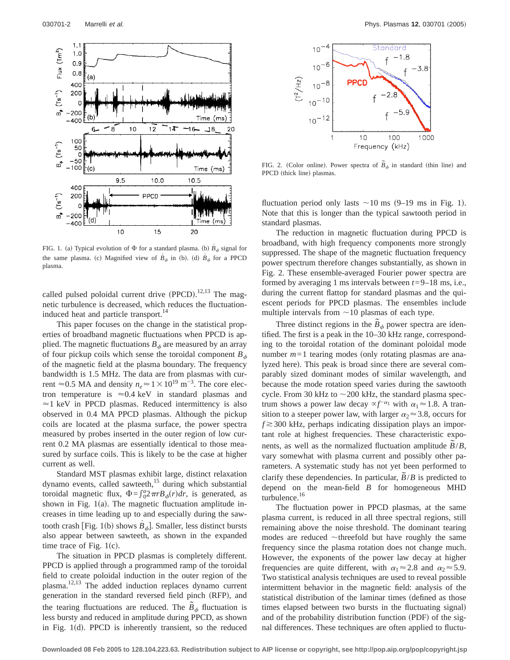

FIG. 1. (a) Typical evolution of  $\Phi$  for a standard plasma. (b)  $\dot{B}_{\phi}$  signal for the same plasma. (c) Magnified view of  $\dot{B}_{\phi}$  in (b). (d)  $\dot{B}_{\phi}$  for a PPCD plasma.

called pulsed poloidal current drive  $(PPCD)$ .<sup>12,13</sup> The magnetic turbulence is decreased, which reduces the fluctuationinduced heat and particle transport.<sup>14</sup>

This paper focuses on the change in the statistical properties of broadband magnetic fluctuations when PPCD is applied. The magnetic fluctuations  $B_{\phi}$  are measured by an array of four pickup coils which sense the toroidal component  $B_{\phi}$ of the magnetic field at the plasma boundary. The frequency bandwidth is 1.5 MHz. The data are from plasmas with current  $\approx$  0.5 MA and density  $n_e \approx 1 \times 10^{19}$  m<sup>-3</sup>. The core electron temperature is  $\approx 0.4 \text{ keV}$  in standard plasmas and  $\approx$ 1 keV in PPCD plasmas. Reduced intermittency is also observed in 0.4 MA PPCD plasmas. Although the pickup coils are located at the plasma surface, the power spectra measured by probes inserted in the outer region of low current 0.2 MA plasmas are essentially identical to those measured by surface coils. This is likely to be the case at higher current as well.

Standard MST plasmas exhibit large, distinct relaxation dynamo events, called sawteeth,<sup>15</sup> during which substantial toroidal magnetic flux,  $\Phi = \int_0^a 2\pi r B_\phi(r) dr$ , is generated, as shown in Fig.  $1(a)$ . The magnetic fluctuation amplitude increases in time leading up to and especially during the sawtooth crash [Fig. 1(b) shows  $\dot{B}_{\phi}$ ]. Smaller, less distinct bursts also appear between sawteeth, as shown in the expanded time trace of Fig.  $1(c)$ .

The situation in PPCD plasmas is completely different. PPCD is applied through a programmed ramp of the toroidal field to create poloidal induction in the outer region of the plasma.12,13 The added induction replaces dynamo current generation in the standard reversed field pinch (RFP), and the tearing fluctuations are reduced. The  $\tilde{B}_{\phi}$  fluctuation is less bursty and reduced in amplitude during PPCD, as shown in Fig.  $1(d)$ . PPCD is inherently transient, so the reduced



FIG. 2. (Color online). Power spectra of  $\tilde{B}_{\phi}$  in standard (thin line) and PPCD (thick line) plasmas.

fluctuation period only lasts  $\sim$  10 ms (9–19 ms in Fig. 1). Note that this is longer than the typical sawtooth period in standard plasmas.

The reduction in magnetic fluctuation during PPCD is broadband, with high frequency components more strongly suppressed. The shape of the magnetic fluctuation frequency power spectrum therefore changes substantially, as shown in Fig. 2. These ensemble-averaged Fourier power spectra are formed by averaging 1 ms intervals between *t*=9–18 ms, i.e., during the current flattop for standard plasmas and the quiescent periods for PPCD plasmas. The ensembles include multiple intervals from  $\sim$ 10 plasmas of each type.

Three distinct regions in the  $\tilde{B}_{\phi}$  power spectra are identified. The first is a peak in the 10–30 kHz range, corresponding to the toroidal rotation of the dominant poloidal mode number  $m=1$  tearing modes (only rotating plasmas are analyzed here). This peak is broad since there are several comparably sized dominant modes of similar wavelength, and because the mode rotation speed varies during the sawtooth cycle. From 30 kHz to  $\sim$  200 kHz, the standard plasma spectrum shows a power law decay  $\alpha f^{-\alpha_1}$  with  $\alpha_1 \approx 1.8$ . A transition to a steeper power law, with larger  $\alpha_2 \approx 3.8$ , occurs for  $f \approx 300$  kHz, perhaps indicating dissipation plays an important role at highest frequencies. These characteristic exponents, as well as the normalized fluctuation amplitude  $\tilde{B}/B$ , vary somewhat with plasma current and possibly other parameters. A systematic study has not yet been performed to clarify these dependencies. In particular,  $\tilde{B}/B$  is predicted to depend on the mean-field *B* for homogeneous MHD turbulence.<sup>16</sup>

The fluctuation power in PPCD plasmas, at the same plasma current, is reduced in all three spectral regions, still remaining above the noise threshold. The dominant tearing modes are reduced  $\sim$ threefold but have roughly the same frequency since the plasma rotation does not change much. However, the exponents of the power law decay at higher frequencies are quite different, with  $\alpha_1 \approx 2.8$  and  $\alpha_2 \approx 5.9$ . Two statistical analysis techniques are used to reveal possible intermittent behavior in the magnetic field: analysis of the statistical distribution of the laminar times (defined as those times elapsed between two bursts in the fluctuating signal) and of the probability distribution function (PDF) of the signal differences. These techniques are often applied to fluctu-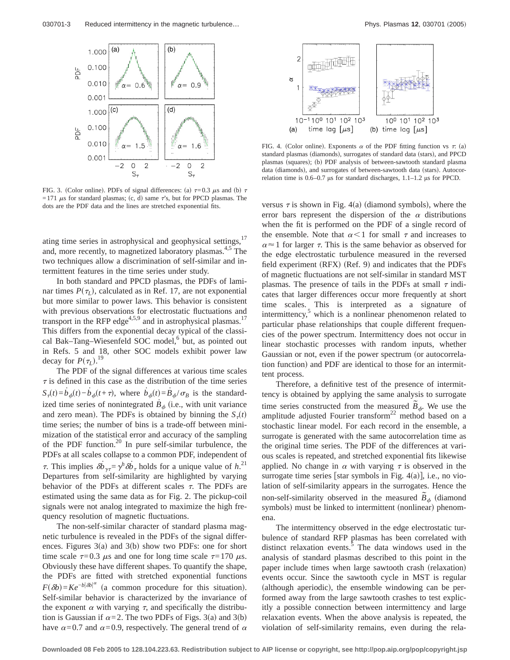

FIG. 3. (Color online). PDFs of signal differences: (a)  $\tau=0.3 \mu s$  and (b)  $\tau$ =171  $\mu$ s for standard plasmas; (c, d) same  $\tau$ 's, but for PPCD plasmas. The dots are the PDF data and the lines are stretched exponential fits.

ating time series in astrophysical and geophysical settings,<sup>17</sup> and, more recently, to magnetized laboratory plasmas.<sup>4,5</sup> The two techniques allow a discrimination of self-similar and intermittent features in the time series under study.

In both standard and PPCD plasmas, the PDFs of laminar times  $P(\tau)$ , calculated as in Ref. 17, are not exponential but more similar to power laws. This behavior is consistent with previous observations for electrostatic fluctuations and transport in the RFP edge<sup>4,5,9</sup> and in astrophysical plasmas.<sup>17</sup> This differs from the exponential decay typical of the classical Bak–Tang–Wiesenfeld SOC model,<sup>6</sup> but, as pointed out in Refs. 5 and 18, other SOC models exhibit power law decay for  $P(\tau_L)$ .<sup>19</sup>

The PDF of the signal differences at various time scales  $\tau$  is defined in this case as the distribution of the time series  $S_{\tau}(t) = b_{\phi}(t) - b_{\phi}(t+\tau)$ , where  $b_{\phi}(t) = \dot{B}_{\phi}/\sigma_{B}$  is the standardized time series of nonintegrated  $\dot{B}_{\phi}$  (i.e., with unit variance and zero mean). The PDFs is obtained by binning the  $S_{\tau}(t)$ time series; the number of bins is a trade-off between minimization of the statistical error and accuracy of the sampling of the PDF function.<sup>20</sup> In pure self-similar turbulence, the PDFs at all scales collapse to a common PDF, independent of  $\tau$ . This implies  $\delta \dot{b}_{\gamma \tau} = \gamma^h \delta \dot{b}_{\tau}$  holds for a unique value of  $h^{(2)}$ . Departures from self-similarity are highlighted by varying behavior of the PDFs at different scales  $\tau$ . The PDFs are estimated using the same data as for Fig. 2. The pickup-coil signals were not analog integrated to maximize the high frequency resolution of magnetic fluctuations.

The non-self-similar character of standard plasma magnetic turbulence is revealed in the PDFs of the signal differences. Figures  $3(a)$  and  $3(b)$  show two PDFs: one for short time scale  $\tau=0.3$   $\mu$ s and one for long time scale  $\tau=170 \mu$ s. Obviously these have different shapes. To quantify the shape, the PDFs are fitted with stretched exponential functions  $F(\delta b) = Ke^{-b|\delta b|^{\alpha}}$  (a common procedure for this situation). Self-similar behavior is characterized by the invariance of the exponent  $\alpha$  with varying  $\tau$ , and specifically the distribution is Gaussian if  $\alpha = 2$ . The two PDFs of Figs. 3(a) and 3(b) have  $\alpha$ =0.7 and  $\alpha$ =0.9, respectively. The general trend of  $\alpha$ 



FIG. 4. (Color online). Exponents  $\alpha$  of the PDF fitting function vs  $\tau$ : (a) standard plasmas (diamonds), surrogates of standard data (stars), and PPCD plasmas (squares); (b) PDF analysis of between-sawtooth standard plasma data (diamonds), and surrogates of between-sawtooth data (stars). Autocorrelation time is 0.6–0.7 µs for standard discharges, 1.1–1.2 µs for PPCD.

versus  $\tau$  is shown in Fig. 4(a) (diamond symbols), where the error bars represent the dispersion of the  $\alpha$  distributions when the fit is performed on the PDF of a single record of the ensemble. Note that  $\alpha < 1$  for small  $\tau$  and increases to  $\alpha \approx 1$  for larger  $\tau$ . This is the same behavior as observed for the edge electrostatic turbulence measured in the reversed field experiment  $(RFX)$   $(Ref. 9)$  and indicates that the PDFs of magnetic fluctuations are not self-similar in standard MST plasmas. The presence of tails in the PDFs at small  $\tau$  indicates that larger differences occur more frequently at short time scales. This is interpreted as a signature of intermittency, $\delta$  which is a nonlinear phenomenon related to particular phase relationships that couple different frequencies of the power spectrum. Intermittency does not occur in linear stochastic processes with random inputs, whether Gaussian or not, even if the power spectrum (or autocorrelation function) and PDF are identical to those for an intermittent process.

Therefore, a definitive test of the presence of intermittency is obtained by applying the same analysis to surrogate time series constructed from the measured  $\tilde{B}_{\phi}$ . We use the amplitude adjusted Fourier transform<sup>22</sup> method based on a stochastic linear model. For each record in the ensemble, a surrogate is generated with the same autocorrelation time as the original time series. The PDF of the differences at various scales is repeated, and stretched exponential fits likewise applied. No change in  $\alpha$  with varying  $\tau$  is observed in the surrogate time series [star symbols in Fig.  $4(a)$ ], i.e., no violation of self-similarity appears in the surrogates. Hence the non-self-similarity observed in the measured  $\tilde{B}_{\phi}$  (diamond symbols) must be linked to intermittent (nonlinear) phenomena.

The intermittency observed in the edge electrostatic turbulence of standard RFP plasmas has been correlated with distinct relaxation events.<sup>3</sup> The data windows used in the analysis of standard plasmas described to this point in the paper include times when large sawtooth crash (relaxation) events occur. Since the sawtooth cycle in MST is regular (although aperiodic), the ensemble windowing can be performed away from the large sawtooth crashes to test explicitly a possible connection between intermittency and large relaxation events. When the above analysis is repeated, the violation of self-similarity remains, even during the rela